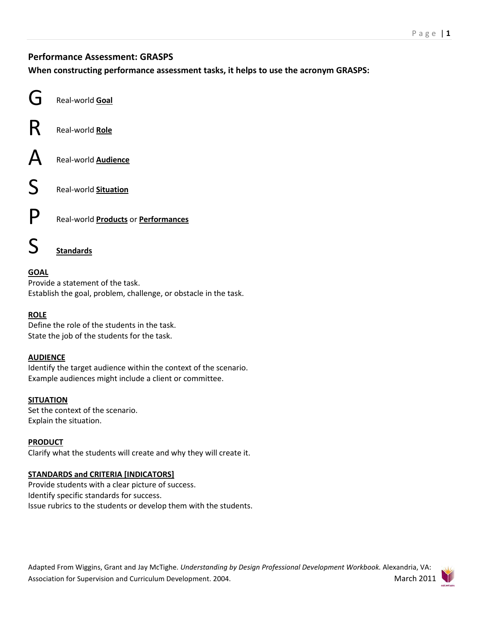# **Performance Assessment: GRASPS**

**When constructing performance assessment tasks, it helps to use the acronym GRASPS:** 

|   | Real-world Goal                                   |
|---|---------------------------------------------------|
|   | Real-world Role                                   |
|   | Real-world <b>Audience</b>                        |
| S | Real-world Situation                              |
|   | Real-world <b>Products</b> or <b>Performances</b> |
|   | <b>Standards</b>                                  |

# **GOAL**

Provide a statement of the task. Establish the goal, problem, challenge, or obstacle in the task.

### **ROLE**

Define the role of the students in the task. State the job of the students for the task.

### **AUDIENCE**

Identify the target audience within the context of the scenario. Example audiences might include a client or committee.

### **SITUATION**

Set the context of the scenario. Explain the situation.

#### **PRODUCT**

Clarify what the students will create and why they will create it.

### **STANDARDS and CRITERIA [INDICATORS]**

Provide students with a clear picture of success. Identify specific standards for success. Issue rubrics to the students or develop them with the students.